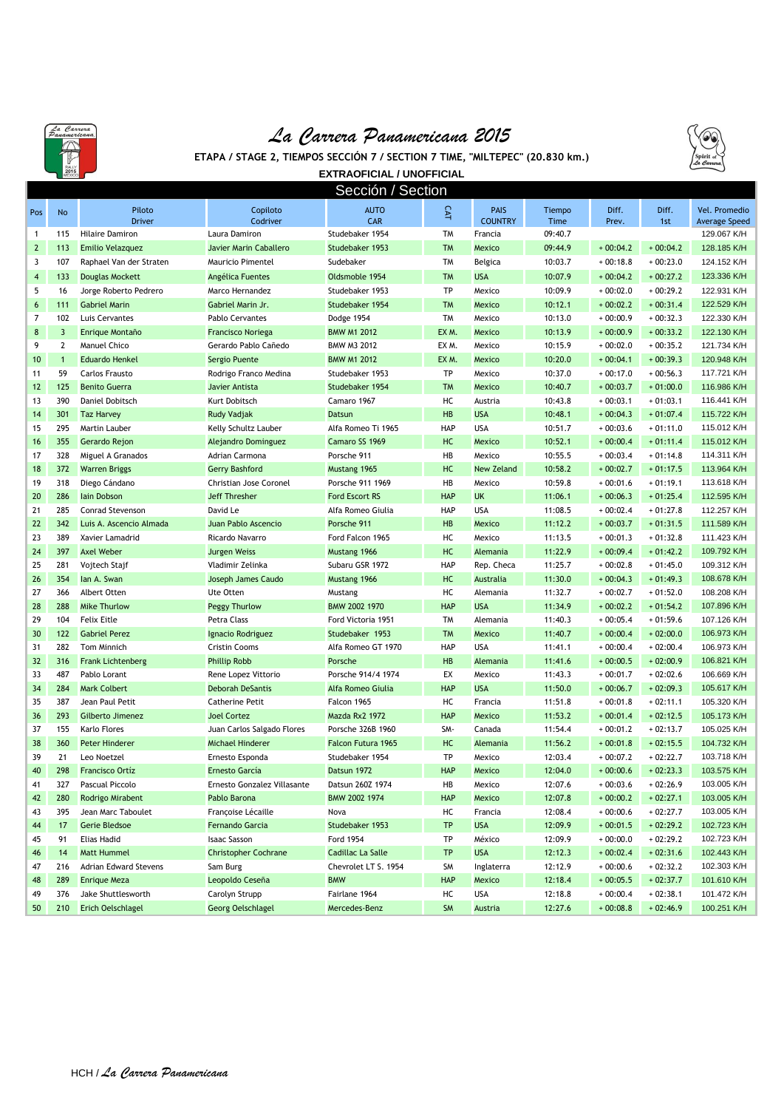

## *La Carrera Panamericana 2015*



**ETAPA / STAGE 2, TIEMPOS SECCIÓN 7 / SECTION 7 TIME, "MILTEPEC" (20.830 km.)**

|                         | MEXICO       |                          |                             | <b>EXTRAOFICIAL / UNOFFICIAL</b> |            |                               |                |                |              |                                       |
|-------------------------|--------------|--------------------------|-----------------------------|----------------------------------|------------|-------------------------------|----------------|----------------|--------------|---------------------------------------|
| Sección / Section       |              |                          |                             |                                  |            |                               |                |                |              |                                       |
| Pos                     | No           | Piloto<br><b>Driver</b>  | Copiloto<br>Codriver        | <b>AUTO</b><br>CAR               | CAT        | <b>PAIS</b><br><b>COUNTRY</b> | Tiempo<br>Time | Diff.<br>Prev. | Diff.<br>1st | Vel. Promedio<br><b>Average Speed</b> |
| 1                       | 115          | <b>Hilaire Damiron</b>   | Laura Damiron               | Studebaker 1954                  | TM         | Francia                       | 09:40.7        |                |              | 129.067 K/H                           |
| $\overline{2}$          | 113          | <b>Emilio Velazquez</b>  | Javier Marin Caballero      | Studebaker 1953                  | <b>TM</b>  | Mexico                        | 09:44.9        | $+00:04.2$     | $+00:04.2$   | 128.185 K/H                           |
| 3                       | 107          | Raphael Van der Straten  | Mauricio Pimentel           | Sudebaker                        | <b>TM</b>  | Belgica                       | 10:03.7        | $+00:18.8$     | $+00:23.0$   | 124.152 K/H                           |
| $\overline{\mathbf{4}}$ | 133          | <b>Douglas Mockett</b>   | Angélica Fuentes            | Oldsmoble 1954                   | <b>TM</b>  | <b>USA</b>                    | 10:07.9        | $+00:04.2$     | $+00:27.2$   | 123.336 K/H                           |
| 5                       | 16           | Jorge Roberto Pedrero    | Marco Hernandez             | Studebaker 1953                  | TP         | Mexico                        | 10:09.9        | $+00:02.0$     | $+00:29.2$   | 122.931 K/H                           |
| 6                       | 111          | <b>Gabriel Marin</b>     | Gabriel Marin Jr.           | Studebaker 1954                  | <b>TM</b>  | Mexico                        | 10:12.1        | $+00:02.2$     | $+00:31.4$   | 122.529 K/H                           |
| 7                       | 102          | Luis Cervantes           | <b>Pablo Cervantes</b>      | Dodge 1954                       | <b>TM</b>  | Mexico                        | 10:13.0        | $+00:00.9$     | $+00:32.3$   | 122.330 K/H                           |
| $\bf 8$                 | 3            | Enrique Montaño          | Francisco Noriega           | <b>BMW M1 2012</b>               | EXM.       | Mexico                        | 10:13.9        | $+00:00.9$     | $+00:33.2$   | 122.130 K/H                           |
| 9                       | 2            | <b>Manuel Chico</b>      | Gerardo Pablo Cañedo        | BMW M3 2012                      | EX M.      | Mexico                        | 10:15.9        | $+00:02.0$     | $+00:35.2$   | 121.734 K/H                           |
| 10                      | $\mathbf{1}$ | <b>Eduardo Henkel</b>    | Sergio Puente               | <b>BMW M1 2012</b>               | EXM.       | Mexico                        | 10:20.0        | $+00:04.1$     | $+00:39.3$   | 120.948 K/H                           |
| 11                      | 59           | Carlos Frausto           | Rodrigo Franco Medina       | Studebaker 1953                  | TP         | Mexico                        | 10:37.0        | $+00:17.0$     | $+00:56.3$   | 117.721 K/H                           |
| 12                      | 125          | <b>Benito Guerra</b>     | Javier Antista              | Studebaker 1954                  | <b>TM</b>  | Mexico                        | 10:40.7        | $+00:03.7$     | $+01:00.0$   | 116.986 K/H                           |
| 13                      | 390          | Daniel Dobitsch          | Kurt Dobitsch               | Camaro 1967                      | HC         | Austria                       | 10:43.8        | $+00:03.1$     | $+01:03.1$   | 116.441 K/H                           |
| 14                      | 301          | <b>Taz Harvey</b>        | Rudy Vadjak                 | Datsun                           | <b>HB</b>  | <b>USA</b>                    | 10:48.1        | $+00:04.3$     | $+01:07.4$   | 115.722 K/H                           |
| 15                      | 295          | Martin Lauber            | Kelly Schultz Lauber        | Alfa Romeo Ti 1965               | HAP        | <b>USA</b>                    | 10:51.7        | $+00:03.6$     | $+01:11.0$   | 115.012 K/H                           |
| 16                      | 355          | Gerardo Rejon            | Alejandro Dominguez         | Camaro SS 1969                   | HC         | Mexico                        | 10:52.1        | $+00:00.4$     | $+01:11.4$   | 115.012 K/H                           |
| 17                      | 328          | Miguel A Granados        | Adrian Carmona              | Porsche 911                      | HB         | Mexico                        | 10:55.5        | $+00:03.4$     | $+01:14.8$   | 114.311 K/H                           |
| 18                      | 372          | <b>Warren Briggs</b>     | Gerry Bashford              | Mustang 1965                     | HC         | <b>New Zeland</b>             | 10:58.2        | $+00:02.7$     | $+01:17.5$   | 113.964 K/H                           |
| 19                      | 318          | Diego Cándano            | Christian Jose Coronel      | Porsche 911 1969                 | HB         | Mexico                        | 10:59.8        | $+00:01.6$     | $+01:19.1$   | 113.618 K/H                           |
| 20                      | 286          | lain Dobson              | Jeff Thresher               | <b>Ford Escort RS</b>            | <b>HAP</b> | <b>UK</b>                     | 11:06.1        | $+00:06.3$     | $+01:25.4$   | 112.595 K/H                           |
| 21                      | 285          | <b>Conrad Stevenson</b>  | David Le                    | Alfa Romeo Giulia                | HAP        | <b>USA</b>                    | 11:08.5        | $+00:02.4$     | $+01:27.8$   | 112.257 K/H                           |
| 22                      | 342          | Luis A. Ascencio Almada  | Juan Pablo Ascencio         | Porsche 911                      | HB         | Mexico                        | 11:12.2        | $+00:03.7$     | $+01:31.5$   | 111.589 K/H                           |
| 23                      | 389          | Xavier Lamadrid          | Ricardo Navarro             | Ford Falcon 1965                 | НC         | Mexico                        | 11:13.5        | $+00:01.3$     | $+01:32.8$   | 111.423 K/H                           |
| 24                      | 397          | <b>Axel Weber</b>        | <b>Jurgen Weiss</b>         | Mustang 1966                     | HC         | Alemania                      | 11:22.9        | $+00:09.4$     | $+01:42.2$   | 109.792 K/H                           |
| 25                      | 281          | Vojtech Stajf            | Vladimir Zelinka            | Subaru GSR 1972                  | HAP        | Rep. Checa                    | 11:25.7        | $+00:02.8$     | $+01:45.0$   | 109.312 K/H                           |
| 26                      | 354          | lan A. Swan              | Joseph James Caudo          | Mustang 1966                     | HC         | Australia                     | 11:30.0        | $+00:04.3$     | $+01:49.3$   | 108.678 K/H                           |
| 27                      | 366          | Albert Otten             | Ute Otten                   | Mustang                          | НC         | Alemania                      | 11:32.7        | $+00:02.7$     | $+01:52.0$   | 108.208 K/H                           |
| 28                      | 288          | <b>Mike Thurlow</b>      | Peggy Thurlow               | BMW 2002 1970                    | <b>HAP</b> | <b>USA</b>                    | 11:34.9        | $+00:02.2$     | $+01:54.2$   | 107.896 K/H                           |
| 29                      | 104          | <b>Felix Eitle</b>       | Petra Class                 | Ford Victoria 1951               | <b>TM</b>  | Alemania                      | 11:40.3        | $+00:05.4$     | $+01:59.6$   | 107.126 K/H                           |
| 30                      | 122          | <b>Gabriel Perez</b>     | Ignacio Rodriguez           | Studebaker 1953                  | <b>TM</b>  | Mexico                        | 11:40.7        | $+00:00.4$     | $+02:00.0$   | 106.973 K/H                           |
| 31                      | 282          | Tom Minnich              | <b>Cristin Cooms</b>        | Alfa Romeo GT 1970               | HAP        | <b>USA</b>                    | 11:41.1        | $+00:00.4$     | $+02:00.4$   | 106.973 K/H                           |
| 32                      | 316          | <b>Frank Lichtenberg</b> | <b>Phillip Robb</b>         | Porsche                          | HB         | Alemania                      | 11:41.6        | $+00:00.5$     | $+02:00.9$   | 106.821 K/H                           |
| 33                      | 487          | Pablo Lorant             | Rene Lopez Vittorio         | Porsche 914/4 1974               | EX         | Mexico                        | 11:43.3        | $+00:01.7$     | $+02:02.6$   | 106.669 K/H                           |
| 34                      | 284          | <b>Mark Colbert</b>      | Deborah DeSantis            | Alfa Romeo Giulia                | <b>HAP</b> | <b>USA</b>                    | 11:50.0        | $+00:06.7$     | $+02:09.3$   | 105.617 K/H                           |
| 35                      | 387          | Jean Paul Petit          | <b>Catherine Petit</b>      | Falcon 1965                      | HC         | Francia                       | 11:51.8        | $+00:01.8$     | $+02:11.1$   | 105.320 K/H                           |
| 36                      | 293          | Gilberto Jimenez         | <b>Joel Cortez</b>          | Mazda Rx2 1972                   | <b>HAP</b> | Mexico                        | 11:53.2        | $+00:01.4$     | $+02:12.5$   | 105.173 K/H                           |
| 37                      | 155          | Karlo Flores             | Juan Carlos Salgado Flores  | Porsche 326B 1960                | SM-        | Canada                        | 11:54.4        | $+00:01.2$     | $+02:13.7$   | 105.025 K/H                           |
| 38                      | 360          | Peter Hinderer           | Michael Hinderer            | Falcon Futura 1965               | HC         | Alemania                      | 11:56.2        | $+00:01.8$     | $+02:15.5$   | 104.732 K/H                           |
| 39                      | 21           | Leo Noetzel              | Ernesto Esponda             | Studebaker 1954                  | TP         | Mexico                        | 12:03.4        | $+00:07.2$     | $+02:22.7$   | 103.718 K/H                           |
| 40                      | 298          | <b>Francisco Ortíz</b>   | Ernesto García              | Datsun 1972                      | <b>HAP</b> | Mexico                        | 12:04.0        | $+00:00.6$     | $+02:23.3$   | 103.575 K/H                           |
| 41                      | 327          | Pascual Piccolo          | Ernesto Gonzalez Villasante | Datsun 260Z 1974                 | HB         | Mexico                        | 12:07.6        | $+00:03.6$     | $+02:26.9$   | 103.005 K/H                           |
| 42                      | 280          | Rodrigo Mirabent         | Pablo Barona                | BMW 2002 1974                    | <b>HAP</b> | Mexico                        | 12:07.8        | $+00:00.2$     | $+02:27.1$   | 103.005 K/H                           |
| 43                      | 395          | Jean Marc Taboulet       | Françoise Lécaille          | Nova                             | НC         | Francia                       | 12:08.4        | $+00:00.6$     | $+02:27.7$   | 103.005 K/H                           |
| 44                      | 17           | Gerie Bledsoe            | Fernando Garcia             | Studebaker 1953                  | TP         | <b>USA</b>                    | 12:09.9        | $+00:01.5$     | $+02:29.2$   | 102.723 K/H                           |
| 45                      | 91           | <b>Elias Hadid</b>       | <b>Isaac Sasson</b>         | Ford 1954                        | TP         | México                        | 12:09.9        | $+00:00.0$     | $+02:29.2$   | 102.723 K/H                           |
| 46                      | 14           | <b>Matt Hummel</b>       | <b>Christopher Cochrane</b> | Cadillac La Salle                | TP         | <b>USA</b>                    | 12:12.3        | $+00:02.4$     | $+02:31.6$   | 102.443 K/H                           |
| 47                      | 216          | Adrian Edward Stevens    | Sam Burg                    | Chevrolet LT S. 1954             | SM         | Inglaterra                    | 12:12.9        | $+00:00.6$     | $+02:32.2$   | 102.303 K/H                           |
| 48                      | 289          | <b>Enrique Meza</b>      | Leopoldo Ceseña             | <b>BMW</b>                       | <b>HAP</b> | Mexico                        | 12:18.4        | $+00:05.5$     | $+02:37.7$   | 101.610 K/H                           |
| 49                      | 376          | Jake Shuttlesworth       | Carolyn Strupp              | Fairlane 1964                    | НC         | USA                           | 12:18.8        | $+00:00.4$     | $+02:38.1$   | 101.472 K/H                           |
| 50                      | 210          | <b>Erich Oelschlagel</b> | Georg Oelschlagel           | Mercedes-Benz                    | SM         | Austria                       | 12:27.6        | $+00:08.8$     | $+02:46.9$   | 100.251 K/H                           |